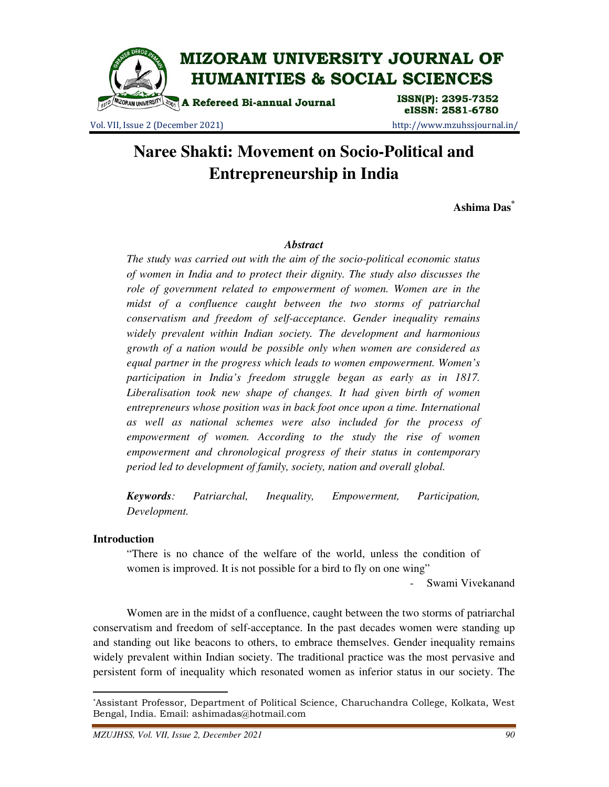

Vol. VII, Issue 2 (December 2021) http://www.mzuhssjournal.in/

# eISSN: 2581-6780

# **Naree Shakti: Movement on Socio-Political and Entrepreneurship in India**

**Ashima Das\***

#### *Abstract*

*The study was carried out with the aim of the socio-political economic status of women in India and to protect their dignity. The study also discusses the role of government related to empowerment of women. Women are in the midst of a confluence caught between the two storms of patriarchal conservatism and freedom of self-acceptance. Gender inequality remains widely prevalent within Indian society. The development and harmonious growth of a nation would be possible only when women are considered as equal partner in the progress which leads to women empowerment. Women's participation in India's freedom struggle began as early as in 1817. Liberalisation took new shape of changes. It had given birth of women entrepreneurs whose position was in back foot once upon a time. International as well as national schemes were also included for the process of empowerment of women. According to the study the rise of women empowerment and chronological progress of their status in contemporary period led to development of family, society, nation and overall global.* 

*Keywords: Patriarchal, Inequality, Empowerment, Participation, Development.* 

#### **Introduction**

 $\overline{a}$ 

 "There is no chance of the welfare of the world, unless the condition of women is improved. It is not possible for a bird to fly on one wing"

- Swami Vivekanand

 Women are in the midst of a confluence, caught between the two storms of patriarchal conservatism and freedom of self-acceptance. In the past decades women were standing up and standing out like beacons to others, to embrace themselves. Gender inequality remains widely prevalent within Indian society. The traditional practice was the most pervasive and persistent form of inequality which resonated women as inferior status in our society. The

<sup>\*</sup>Assistant Professor, Department of Political Science, Charuchandra College, Kolkata, West Bengal, India. Email: ashimadas@hotmail.com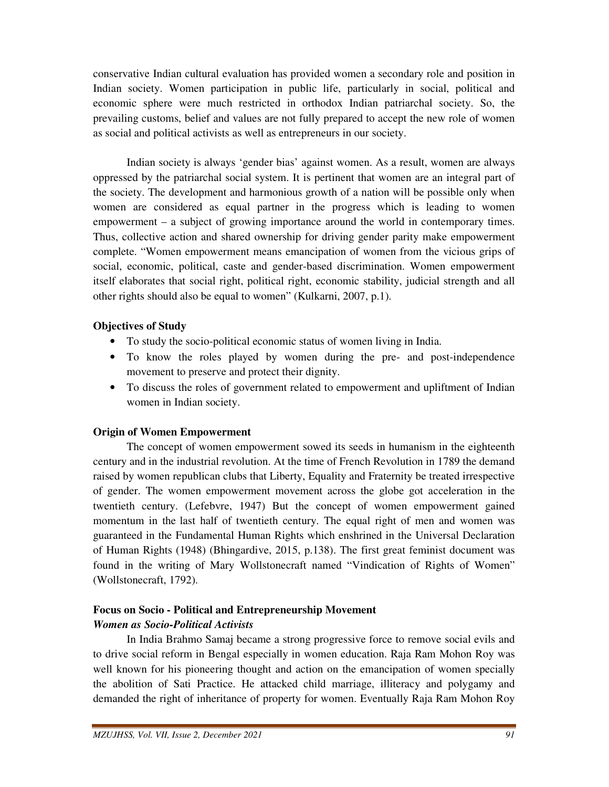conservative Indian cultural evaluation has provided women a secondary role and position in Indian society. Women participation in public life, particularly in social, political and economic sphere were much restricted in orthodox Indian patriarchal society. So, the prevailing customs, belief and values are not fully prepared to accept the new role of women as social and political activists as well as entrepreneurs in our society.

 Indian society is always 'gender bias' against women. As a result, women are always oppressed by the patriarchal social system. It is pertinent that women are an integral part of the society. The development and harmonious growth of a nation will be possible only when women are considered as equal partner in the progress which is leading to women empowerment – a subject of growing importance around the world in contemporary times. Thus, collective action and shared ownership for driving gender parity make empowerment complete. "Women empowerment means emancipation of women from the vicious grips of social, economic, political, caste and gender-based discrimination. Women empowerment itself elaborates that social right, political right, economic stability, judicial strength and all other rights should also be equal to women" (Kulkarni, 2007, p.1).

# **Objectives of Study**

- To study the socio-political economic status of women living in India.
- To know the roles played by women during the pre- and post-independence movement to preserve and protect their dignity.
- To discuss the roles of government related to empowerment and upliftment of Indian women in Indian society.

# **Origin of Women Empowerment**

 The concept of women empowerment sowed its seeds in humanism in the eighteenth century and in the industrial revolution. At the time of French Revolution in 1789 the demand raised by women republican clubs that Liberty, Equality and Fraternity be treated irrespective of gender. The women empowerment movement across the globe got acceleration in the twentieth century. (Lefebvre, 1947) But the concept of women empowerment gained momentum in the last half of twentieth century. The equal right of men and women was guaranteed in the Fundamental Human Rights which enshrined in the Universal Declaration of Human Rights (1948) (Bhingardive, 2015, p.138). The first great feminist document was found in the writing of Mary Wollstonecraft named "Vindication of Rights of Women" (Wollstonecraft, 1792).

# **Focus on Socio - Political and Entrepreneurship Movement** *Women as Socio-Political Activists*

 In India Brahmo Samaj became a strong progressive force to remove social evils and to drive social reform in Bengal especially in women education. Raja Ram Mohon Roy was well known for his pioneering thought and action on the emancipation of women specially the abolition of Sati Practice. He attacked child marriage, illiteracy and polygamy and demanded the right of inheritance of property for women. Eventually Raja Ram Mohon Roy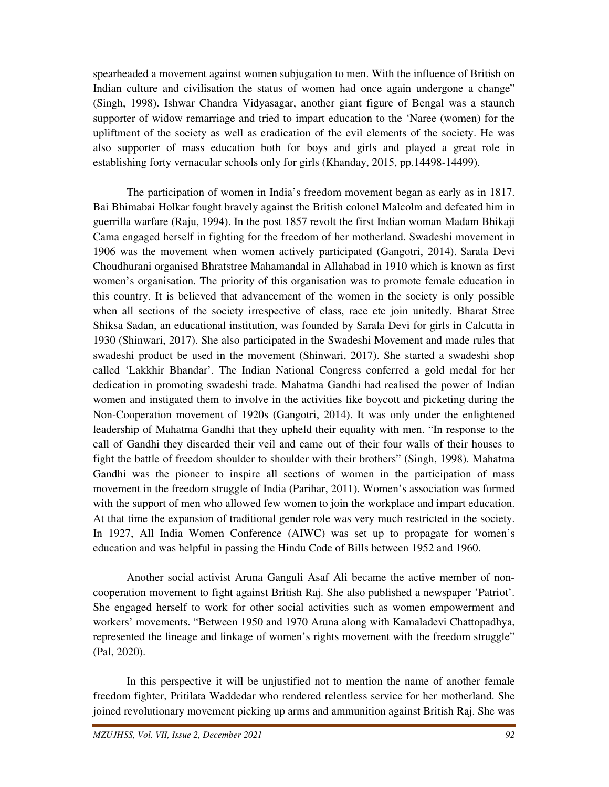spearheaded a movement against women subjugation to men. With the influence of British on Indian culture and civilisation the status of women had once again undergone a change" (Singh, 1998). Ishwar Chandra Vidyasagar, another giant figure of Bengal was a staunch supporter of widow remarriage and tried to impart education to the 'Naree (women) for the upliftment of the society as well as eradication of the evil elements of the society. He was also supporter of mass education both for boys and girls and played a great role in establishing forty vernacular schools only for girls (Khanday, 2015, pp.14498-14499).

 The participation of women in India's freedom movement began as early as in 1817. Bai Bhimabai Holkar fought bravely against the British colonel Malcolm and defeated him in guerrilla warfare (Raju, 1994). In the post 1857 revolt the first Indian woman Madam Bhikaji Cama engaged herself in fighting for the freedom of her motherland. Swadeshi movement in 1906 was the movement when women actively participated (Gangotri, 2014). Sarala Devi Choudhurani organised Bhratstree Mahamandal in Allahabad in 1910 which is known as first women's organisation. The priority of this organisation was to promote female education in this country. It is believed that advancement of the women in the society is only possible when all sections of the society irrespective of class, race etc join unitedly. Bharat Stree Shiksa Sadan, an educational institution, was founded by Sarala Devi for girls in Calcutta in 1930 (Shinwari, 2017). She also participated in the Swadeshi Movement and made rules that swadeshi product be used in the movement (Shinwari, 2017). She started a swadeshi shop called 'Lakkhir Bhandar'. The Indian National Congress conferred a gold medal for her dedication in promoting swadeshi trade. Mahatma Gandhi had realised the power of Indian women and instigated them to involve in the activities like boycott and picketing during the Non-Cooperation movement of 1920s (Gangotri, 2014). It was only under the enlightened leadership of Mahatma Gandhi that they upheld their equality with men. "In response to the call of Gandhi they discarded their veil and came out of their four walls of their houses to fight the battle of freedom shoulder to shoulder with their brothers" (Singh, 1998). Mahatma Gandhi was the pioneer to inspire all sections of women in the participation of mass movement in the freedom struggle of India (Parihar, 2011). Women's association was formed with the support of men who allowed few women to join the workplace and impart education. At that time the expansion of traditional gender role was very much restricted in the society. In 1927, All India Women Conference (AIWC) was set up to propagate for women's education and was helpful in passing the Hindu Code of Bills between 1952 and 1960.

 Another social activist Aruna Ganguli Asaf Ali became the active member of noncooperation movement to fight against British Raj. She also published a newspaper 'Patriot'. She engaged herself to work for other social activities such as women empowerment and workers' movements. "Between 1950 and 1970 Aruna along with Kamaladevi Chattopadhya, represented the lineage and linkage of women's rights movement with the freedom struggle" (Pal, 2020).

 In this perspective it will be unjustified not to mention the name of another female freedom fighter, Pritilata Waddedar who rendered relentless service for her motherland. She joined revolutionary movement picking up arms and ammunition against British Raj. She was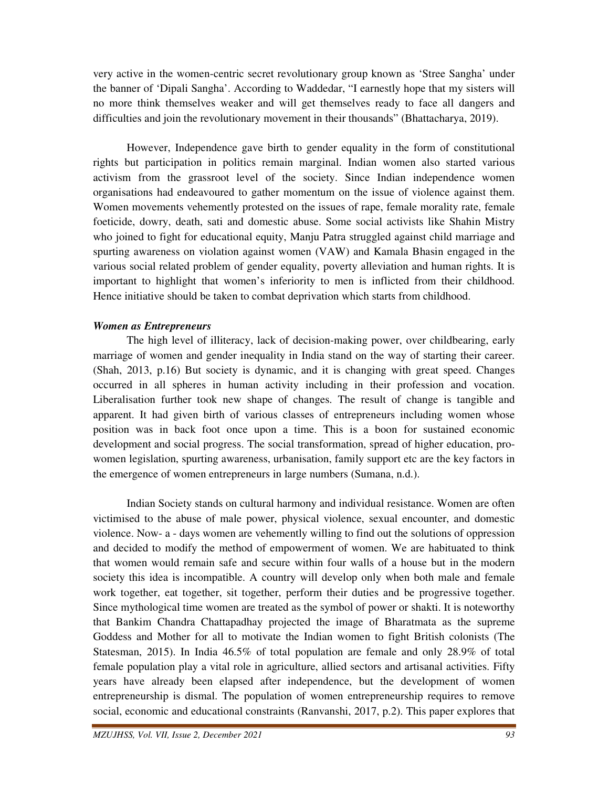very active in the women-centric secret revolutionary group known as 'Stree Sangha' under the banner of 'Dipali Sangha'. According to Waddedar, "I earnestly hope that my sisters will no more think themselves weaker and will get themselves ready to face all dangers and difficulties and join the revolutionary movement in their thousands" (Bhattacharya, 2019).

 However, Independence gave birth to gender equality in the form of constitutional rights but participation in politics remain marginal. Indian women also started various activism from the grassroot level of the society. Since Indian independence women organisations had endeavoured to gather momentum on the issue of violence against them. Women movements vehemently protested on the issues of rape, female morality rate, female foeticide, dowry, death, sati and domestic abuse. Some social activists like Shahin Mistry who joined to fight for educational equity, Manju Patra struggled against child marriage and spurting awareness on violation against women (VAW) and Kamala Bhasin engaged in the various social related problem of gender equality, poverty alleviation and human rights. It is important to highlight that women's inferiority to men is inflicted from their childhood. Hence initiative should be taken to combat deprivation which starts from childhood.

# *Women as Entrepreneurs*

 The high level of illiteracy, lack of decision-making power, over childbearing, early marriage of women and gender inequality in India stand on the way of starting their career. (Shah, 2013, p.16) But society is dynamic, and it is changing with great speed. Changes occurred in all spheres in human activity including in their profession and vocation. Liberalisation further took new shape of changes. The result of change is tangible and apparent. It had given birth of various classes of entrepreneurs including women whose position was in back foot once upon a time. This is a boon for sustained economic development and social progress. The social transformation, spread of higher education, prowomen legislation, spurting awareness, urbanisation, family support etc are the key factors in the emergence of women entrepreneurs in large numbers (Sumana, n.d.).

 Indian Society stands on cultural harmony and individual resistance. Women are often victimised to the abuse of male power, physical violence, sexual encounter, and domestic violence. Now- a - days women are vehemently willing to find out the solutions of oppression and decided to modify the method of empowerment of women. We are habituated to think that women would remain safe and secure within four walls of a house but in the modern society this idea is incompatible. A country will develop only when both male and female work together, eat together, sit together, perform their duties and be progressive together. Since mythological time women are treated as the symbol of power or shakti. It is noteworthy that Bankim Chandra Chattapadhay projected the image of Bharatmata as the supreme Goddess and Mother for all to motivate the Indian women to fight British colonists (The Statesman, 2015). In India 46.5% of total population are female and only 28.9% of total female population play a vital role in agriculture, allied sectors and artisanal activities. Fifty years have already been elapsed after independence, but the development of women entrepreneurship is dismal. The population of women entrepreneurship requires to remove social, economic and educational constraints (Ranvanshi, 2017, p.2). This paper explores that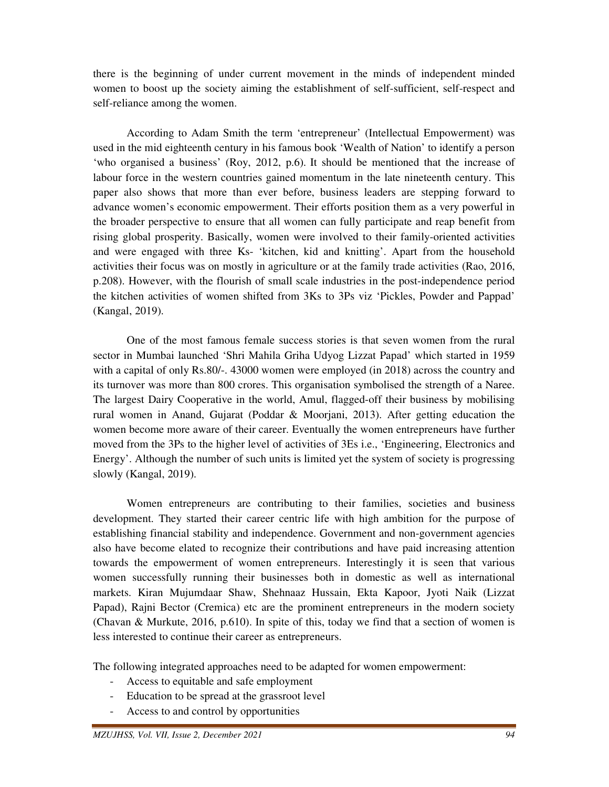there is the beginning of under current movement in the minds of independent minded women to boost up the society aiming the establishment of self-sufficient, self-respect and self-reliance among the women.

 According to Adam Smith the term 'entrepreneur' (Intellectual Empowerment) was used in the mid eighteenth century in his famous book 'Wealth of Nation' to identify a person 'who organised a business' (Roy, 2012, p.6). It should be mentioned that the increase of labour force in the western countries gained momentum in the late nineteenth century. This paper also shows that more than ever before, business leaders are stepping forward to advance women's economic empowerment. Their efforts position them as a very powerful in the broader perspective to ensure that all women can fully participate and reap benefit from rising global prosperity. Basically, women were involved to their family-oriented activities and were engaged with three Ks- 'kitchen, kid and knitting'. Apart from the household activities their focus was on mostly in agriculture or at the family trade activities (Rao, 2016, p.208). However, with the flourish of small scale industries in the post-independence period the kitchen activities of women shifted from 3Ks to 3Ps viz 'Pickles, Powder and Pappad' (Kangal, 2019).

 One of the most famous female success stories is that seven women from the rural sector in Mumbai launched 'Shri Mahila Griha Udyog Lizzat Papad' which started in 1959 with a capital of only Rs.80/-. 43000 women were employed (in 2018) across the country and its turnover was more than 800 crores. This organisation symbolised the strength of a Naree. The largest Dairy Cooperative in the world, Amul, flagged-off their business by mobilising rural women in Anand, Gujarat (Poddar & Moorjani, 2013). After getting education the women become more aware of their career. Eventually the women entrepreneurs have further moved from the 3Ps to the higher level of activities of 3Es i.e., 'Engineering, Electronics and Energy'. Although the number of such units is limited yet the system of society is progressing slowly (Kangal, 2019).

 Women entrepreneurs are contributing to their families, societies and business development. They started their career centric life with high ambition for the purpose of establishing financial stability and independence. Government and non-government agencies also have become elated to recognize their contributions and have paid increasing attention towards the empowerment of women entrepreneurs. Interestingly it is seen that various women successfully running their businesses both in domestic as well as international markets. Kiran Mujumdaar Shaw, Shehnaaz Hussain, Ekta Kapoor, Jyoti Naik (Lizzat Papad), Rajni Bector (Cremica) etc are the prominent entrepreneurs in the modern society (Chavan & Murkute, 2016, p.610). In spite of this, today we find that a section of women is less interested to continue their career as entrepreneurs.

The following integrated approaches need to be adapted for women empowerment:

- Access to equitable and safe employment
- Education to be spread at the grassroot level
- Access to and control by opportunities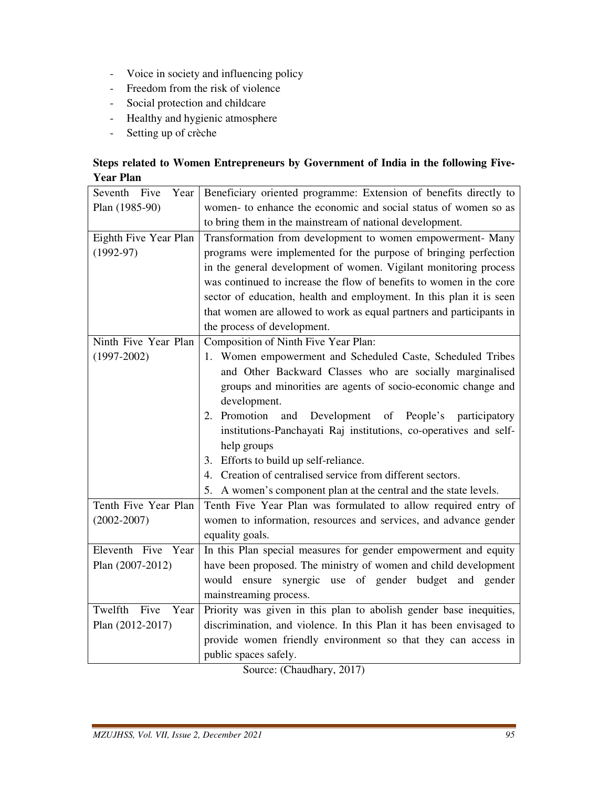- Voice in society and influencing policy
- Freedom from the risk of violence
- Social protection and childcare
- Healthy and hygienic atmosphere
- Setting up of crèche

# **Steps related to Women Entrepreneurs by Government of India in the following Five-Year Plan**

| Seventh Five<br>Year    | Beneficiary oriented programme: Extension of benefits directly to    |
|-------------------------|----------------------------------------------------------------------|
| Plan (1985-90)          | women- to enhance the economic and social status of women so as      |
|                         | to bring them in the mainstream of national development.             |
| Eighth Five Year Plan   | Transformation from development to women empowerment- Many           |
| $(1992-97)$             | programs were implemented for the purpose of bringing perfection     |
|                         | in the general development of women. Vigilant monitoring process     |
|                         | was continued to increase the flow of benefits to women in the core  |
|                         | sector of education, health and employment. In this plan it is seen  |
|                         | that women are allowed to work as equal partners and participants in |
|                         | the process of development.                                          |
| Ninth Five Year Plan    | Composition of Ninth Five Year Plan:                                 |
| $(1997 - 2002)$         | 1. Women empowerment and Scheduled Caste, Scheduled Tribes           |
|                         | and Other Backward Classes who are socially marginalised             |
|                         | groups and minorities are agents of socio-economic change and        |
|                         | development.                                                         |
|                         | 2. Promotion<br>Development of People's participatory<br>and         |
|                         | institutions-Panchayati Raj institutions, co-operatives and self-    |
|                         | help groups                                                          |
|                         | 3. Efforts to build up self-reliance.                                |
|                         | 4. Creation of centralised service from different sectors.           |
|                         | 5. A women's component plan at the central and the state levels.     |
| Tenth Five Year Plan    | Tenth Five Year Plan was formulated to allow required entry of       |
| $(2002 - 2007)$         | women to information, resources and services, and advance gender     |
|                         | equality goals.                                                      |
| Eleventh Five Year      | In this Plan special measures for gender empowerment and equity      |
| Plan (2007-2012)        | have been proposed. The ministry of women and child development      |
|                         | would ensure synergic use of gender budget and gender                |
|                         | mainstreaming process.                                               |
| Twelfth<br>Five<br>Year | Priority was given in this plan to abolish gender base inequities,   |
| Plan (2012-2017)        | discrimination, and violence. In this Plan it has been envisaged to  |
|                         | provide women friendly environment so that they can access in        |
|                         | public spaces safely.                                                |

Source: (Chaudhary, 2017)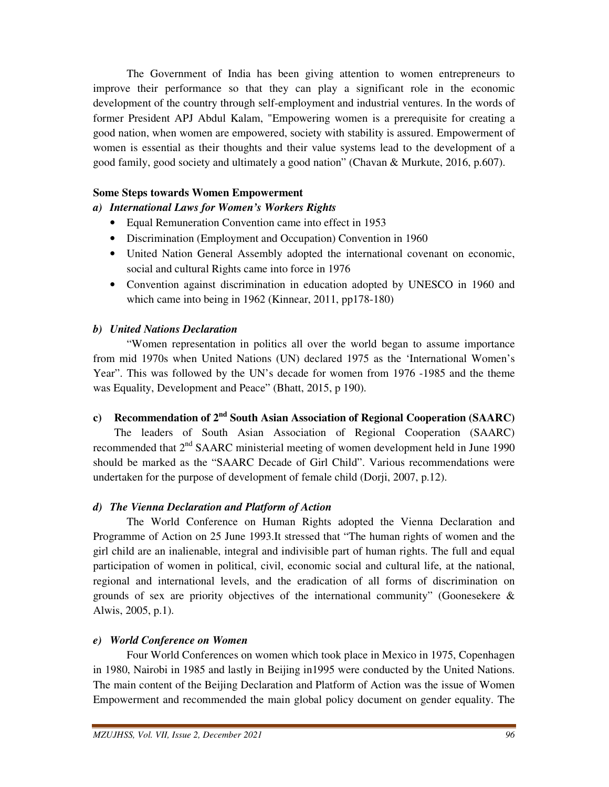The Government of India has been giving attention to women entrepreneurs to improve their performance so that they can play a significant role in the economic development of the country through self-employment and industrial ventures. In the words of former President APJ Abdul Kalam, "Empowering women is a prerequisite for creating a good nation, when women are empowered, society with stability is assured. Empowerment of women is essential as their thoughts and their value systems lead to the development of a good family, good society and ultimately a good nation" (Chavan & Murkute, 2016, p.607).

# **Some Steps towards Women Empowerment**

# *a) International Laws for Women's Workers Rights*

- Equal Remuneration Convention came into effect in 1953
- Discrimination (Employment and Occupation) Convention in 1960
- United Nation General Assembly adopted the international covenant on economic, social and cultural Rights came into force in 1976
- Convention against discrimination in education adopted by UNESCO in 1960 and which came into being in 1962 (Kinnear, 2011, pp178-180)

# *b) United Nations Declaration*

 "Women representation in politics all over the world began to assume importance from mid 1970s when United Nations (UN) declared 1975 as the 'International Women's Year". This was followed by the UN's decade for women from 1976 -1985 and the theme was Equality, Development and Peace" (Bhatt, 2015, p 190).

# **c) Recommendation of 2nd South Asian Association of Regional Cooperation (SAARC)**

The leaders of South Asian Association of Regional Cooperation (SAARC) recommended that 2<sup>nd</sup> SAARC ministerial meeting of women development held in June 1990 should be marked as the "SAARC Decade of Girl Child". Various recommendations were undertaken for the purpose of development of female child (Dorji, 2007, p.12).

# *d) The Vienna Declaration and Platform of Action*

 The World Conference on Human Rights adopted the Vienna Declaration and Programme of Action on 25 June 1993.It stressed that "The human rights of women and the girl child are an inalienable, integral and indivisible part of human rights. The full and equal participation of women in political, civil, economic social and cultural life, at the national, regional and international levels, and the eradication of all forms of discrimination on grounds of sex are priority objectives of the international community" (Goonesekere  $\&$ Alwis, 2005, p.1).

# *e) World Conference on Women*

 Four World Conferences on women which took place in Mexico in 1975, Copenhagen in 1980, Nairobi in 1985 and lastly in Beijing in1995 were conducted by the United Nations. The main content of the Beijing Declaration and Platform of Action was the issue of Women Empowerment and recommended the main global policy document on gender equality. The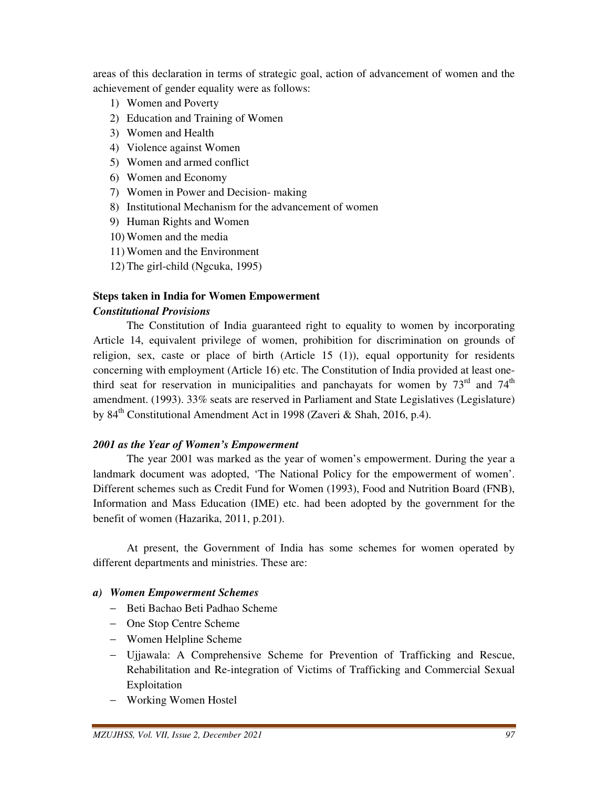areas of this declaration in terms of strategic goal, action of advancement of women and the achievement of gender equality were as follows:

- 1) Women and Poverty
- 2) Education and Training of Women
- 3) Women and Health
- 4) Violence against Women
- 5) Women and armed conflict
- 6) Women and Economy
- 7) Women in Power and Decision- making
- 8) Institutional Mechanism for the advancement of women
- 9) Human Rights and Women
- 10) Women and the media
- 11) Women and the Environment
- 12) The girl-child (Ngcuka, 1995)

# **Steps taken in India for Women Empowerment**  *Constitutional Provisions*

 The Constitution of India guaranteed right to equality to women by incorporating Article 14, equivalent privilege of women, prohibition for discrimination on grounds of religion, sex, caste or place of birth (Article 15 (1)), equal opportunity for residents concerning with employment (Article 16) etc. The Constitution of India provided at least onethird seat for reservation in municipalities and panchayats for women by  $73<sup>rd</sup>$  and  $74<sup>th</sup>$ amendment. (1993). 33% seats are reserved in Parliament and State Legislatives (Legislature) by 84<sup>th</sup> Constitutional Amendment Act in 1998 (Zaveri & Shah, 2016, p.4).

# *2001 as the Year of Women's Empowerment*

 The year 2001 was marked as the year of women's empowerment. During the year a landmark document was adopted, 'The National Policy for the empowerment of women'. Different schemes such as Credit Fund for Women (1993), Food and Nutrition Board (FNB), Information and Mass Education (IME) etc. had been adopted by the government for the benefit of women (Hazarika, 2011, p.201).

 At present, the Government of India has some schemes for women operated by different departments and ministries. These are:

# *a) Women Empowerment Schemes*

- − Beti Bachao Beti Padhao Scheme
- − One Stop Centre Scheme
- − Women Helpline Scheme
- − Ujjawala: A Comprehensive Scheme for Prevention of Trafficking and Rescue, Rehabilitation and Re-integration of Victims of Trafficking and Commercial Sexual Exploitation
- − Working Women Hostel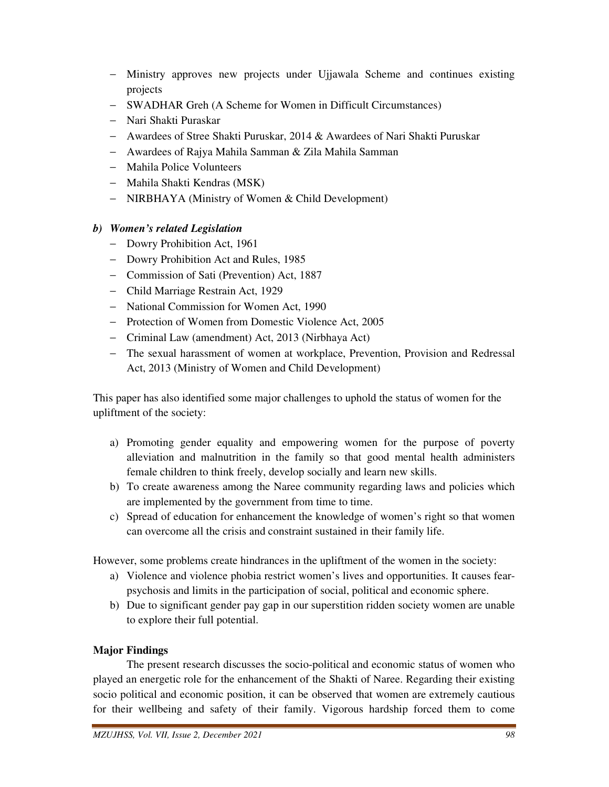- − Ministry approves new projects under Ujjawala Scheme and continues existing projects
- − SWADHAR Greh (A Scheme for Women in Difficult Circumstances)
- − Nari Shakti Puraskar
- − Awardees of Stree Shakti Puruskar, 2014 & Awardees of Nari Shakti Puruskar
- − Awardees of Rajya Mahila Samman & Zila Mahila Samman
- − Mahila Police Volunteers
- − Mahila Shakti Kendras (MSK)
- − NIRBHAYA (Ministry of Women & Child Development)

# *b) Women's related Legislation*

- − Dowry Prohibition Act, 1961
- − Dowry Prohibition Act and Rules, 1985
- − Commission of Sati (Prevention) Act, 1887
- − Child Marriage Restrain Act, 1929
- − National Commission for Women Act, 1990
- − Protection of Women from Domestic Violence Act, 2005
- − Criminal Law (amendment) Act, 2013 (Nirbhaya Act)
- − The sexual harassment of women at workplace, Prevention, Provision and Redressal Act, 2013 (Ministry of Women and Child Development)

This paper has also identified some major challenges to uphold the status of women for the upliftment of the society:

- a) Promoting gender equality and empowering women for the purpose of poverty alleviation and malnutrition in the family so that good mental health administers female children to think freely, develop socially and learn new skills.
- b) To create awareness among the Naree community regarding laws and policies which are implemented by the government from time to time.
- c) Spread of education for enhancement the knowledge of women's right so that women can overcome all the crisis and constraint sustained in their family life.

However, some problems create hindrances in the upliftment of the women in the society:

- a) Violence and violence phobia restrict women's lives and opportunities. It causes fearpsychosis and limits in the participation of social, political and economic sphere.
- b) Due to significant gender pay gap in our superstition ridden society women are unable to explore their full potential.

# **Major Findings**

 The present research discusses the socio-political and economic status of women who played an energetic role for the enhancement of the Shakti of Naree. Regarding their existing socio political and economic position, it can be observed that women are extremely cautious for their wellbeing and safety of their family. Vigorous hardship forced them to come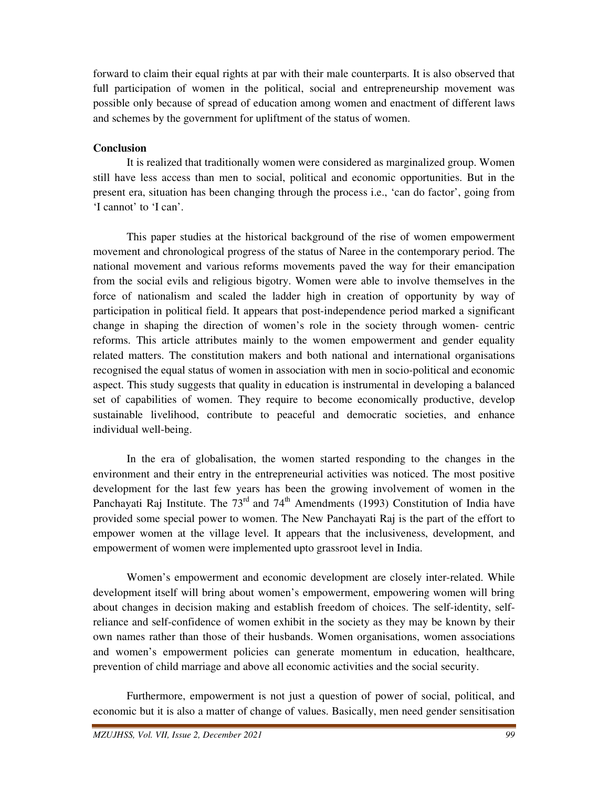forward to claim their equal rights at par with their male counterparts. It is also observed that full participation of women in the political, social and entrepreneurship movement was possible only because of spread of education among women and enactment of different laws and schemes by the government for upliftment of the status of women.

#### **Conclusion**

 It is realized that traditionally women were considered as marginalized group. Women still have less access than men to social, political and economic opportunities. But in the present era, situation has been changing through the process i.e., 'can do factor', going from 'I cannot' to 'I can'.

 This paper studies at the historical background of the rise of women empowerment movement and chronological progress of the status of Naree in the contemporary period. The national movement and various reforms movements paved the way for their emancipation from the social evils and religious bigotry. Women were able to involve themselves in the force of nationalism and scaled the ladder high in creation of opportunity by way of participation in political field. It appears that post-independence period marked a significant change in shaping the direction of women's role in the society through women- centric reforms. This article attributes mainly to the women empowerment and gender equality related matters. The constitution makers and both national and international organisations recognised the equal status of women in association with men in socio-political and economic aspect. This study suggests that quality in education is instrumental in developing a balanced set of capabilities of women. They require to become economically productive, develop sustainable livelihood, contribute to peaceful and democratic societies, and enhance individual well-being.

 In the era of globalisation, the women started responding to the changes in the environment and their entry in the entrepreneurial activities was noticed. The most positive development for the last few years has been the growing involvement of women in the Panchayati Raj Institute. The  $73<sup>rd</sup>$  and  $74<sup>th</sup>$  Amendments (1993) Constitution of India have provided some special power to women. The New Panchayati Raj is the part of the effort to empower women at the village level. It appears that the inclusiveness, development, and empowerment of women were implemented upto grassroot level in India.

 Women's empowerment and economic development are closely inter-related. While development itself will bring about women's empowerment, empowering women will bring about changes in decision making and establish freedom of choices. The self-identity, selfreliance and self-confidence of women exhibit in the society as they may be known by their own names rather than those of their husbands. Women organisations, women associations and women's empowerment policies can generate momentum in education, healthcare, prevention of child marriage and above all economic activities and the social security.

 Furthermore, empowerment is not just a question of power of social, political, and economic but it is also a matter of change of values. Basically, men need gender sensitisation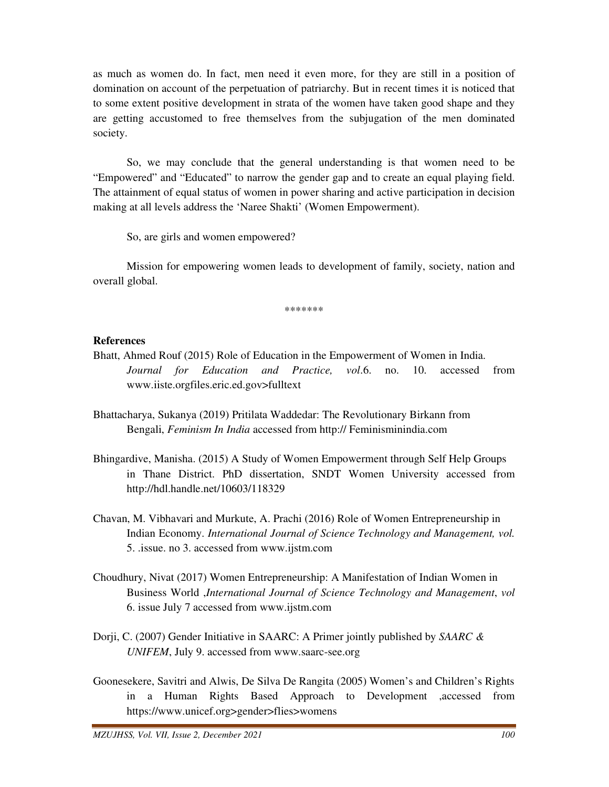as much as women do. In fact, men need it even more, for they are still in a position of domination on account of the perpetuation of patriarchy. But in recent times it is noticed that to some extent positive development in strata of the women have taken good shape and they are getting accustomed to free themselves from the subjugation of the men dominated society.

 So, we may conclude that the general understanding is that women need to be "Empowered" and "Educated" to narrow the gender gap and to create an equal playing field. The attainment of equal status of women in power sharing and active participation in decision making at all levels address the 'Naree Shakti' (Women Empowerment).

So, are girls and women empowered?

 Mission for empowering women leads to development of family, society, nation and overall global.

\*\*\*\*\*\*\*

#### **References**

- Bhatt, Ahmed Rouf (2015) Role of Education in the Empowerment of Women in India. *Journal for Education and Practice, vol*.6. no. 10. accessed from www.iiste.orgfiles.eric.ed.gov>fulltext
- Bhattacharya, Sukanya (2019) Pritilata Waddedar: The Revolutionary Birkann from Bengali, *Feminism In India* accessed from http:// Feminisminindia.com
- Bhingardive, Manisha. (2015) A Study of Women Empowerment through Self Help Groups in Thane District. PhD dissertation, SNDT Women University accessed from http://hdl.handle.net/10603/118329
- Chavan, M. Vibhavari and Murkute, A. Prachi (2016) Role of Women Entrepreneurship in Indian Economy. *International Journal of Science Technology and Management, vol.* 5. .issue. no 3. accessed from www.ijstm.com
- Choudhury, Nivat (2017) Women Entrepreneurship: A Manifestation of Indian Women in Business World ,*International Journal of Science Technology and Management*, *vol* 6. issue July 7 accessed from www.ijstm.com
- Dorji, C. (2007) Gender Initiative in SAARC: A Primer jointly published by *SAARC & UNIFEM*, July 9. accessed from www.saarc-see.org
- Goonesekere, Savitri and Alwis, De Silva De Rangita (2005) Women's and Children's Rights in a Human Rights Based Approach to Development ,accessed from https://www.unicef.org>gender>flies>womens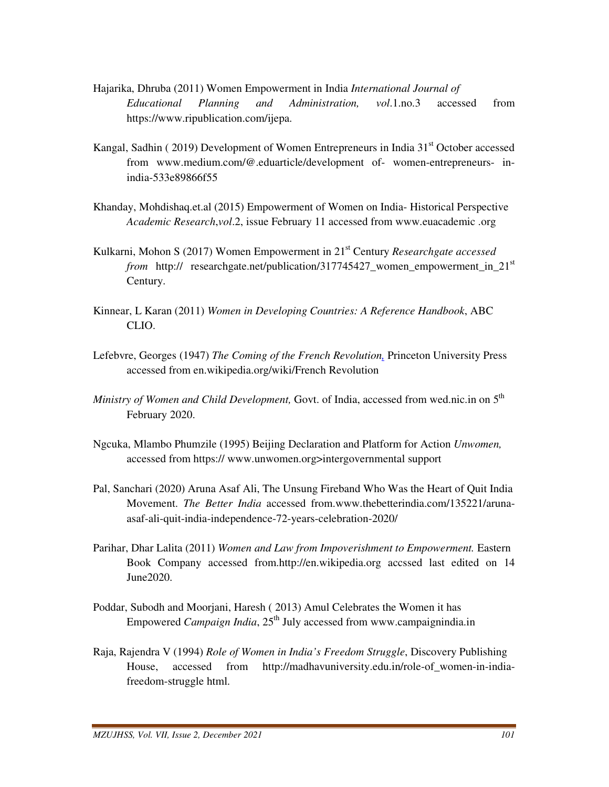- Hajarika, Dhruba (2011) Women Empowerment in India *International Journal of Educational Planning and Administration, vol*.1.no.3 accessed from https://www.ripublication.com/ijepa.
- Kangal, Sadhin (2019) Development of Women Entrepreneurs in India 31<sup>st</sup> October accessed from www.medium.com/@.eduarticle/development of- women-entrepreneurs- in india-533e89866f55
- Khanday, Mohdishaq.et.al (2015) Empowerment of Women on India- Historical Perspective *Academic Research*,*vol*.2, issue February 11 accessed from www.euacademic .org
- Kulkarni, Mohon S (2017) Women Empowerment in 21st Century *Researchgate accessed from* http:// researchgate.net/publication/317745427\_women\_empowerment\_in\_21st Century.
- Kinnear, L Karan (2011) *Women in Developing Countries: A Reference Handbook*, ABC CLIO.
- Lefebvre, Georges (1947) *The Coming of the French Revolution,* Princeton University Press accessed from en.wikipedia.org/wiki/French Revolution
- *Ministry of Women and Child Development,* Govt. of India, accessed from wed.nic.in on 5th February 2020.
- Ngcuka, Mlambo Phumzile (1995) Beijing Declaration and Platform for Action *Unwomen,* accessed from https:// www.unwomen.org>intergovernmental support
- Pal, Sanchari (2020) Aruna Asaf Ali, The Unsung Fireband Who Was the Heart of Quit India Movement. *The Better India* accessed from.www.thebetterindia.com/135221/aruna asaf-ali-quit-india-independence-72-years-celebration-2020/
- Parihar, Dhar Lalita (2011) *Women and Law from Impoverishment to Empowerment.* Eastern Book Company accessed from.http://en.wikipedia.org accssed last edited on 14 June2020.
- Poddar, Subodh and Moorjani, Haresh ( 2013) Amul Celebrates the Women it has Empowered *Campaign India*, 25<sup>th</sup> July accessed from www.campaignindia.in
- Raja, Rajendra V (1994) *Role of Women in India's Freedom Struggle*, Discovery Publishing House, accessed from http://madhavuniversity.edu.in/role-of\_women-in-india freedom-struggle html.